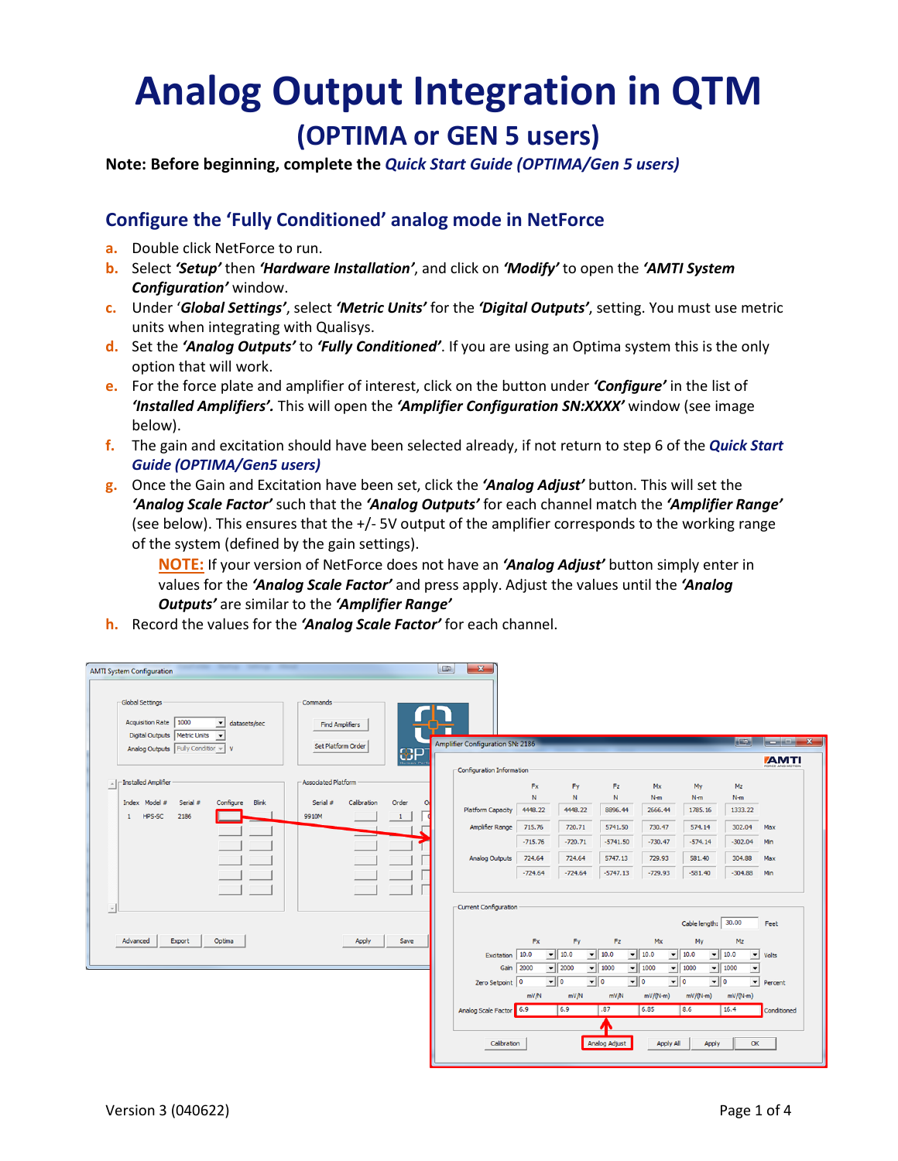## **Analog Output Integration in QTM (OPTIMA or GEN 5 users)**

**Note: Before beginning, complete the** *Quick Start Guide (OPTIMA/Gen 5 users)*

## **Configure the 'Fully Conditioned' analog mode in NetForce**

- **a.** Double click NetForce to run.
- **b.** Select *'Setup'* then *'Hardware Installation'*, and click on *'Modify'* to open the *'AMTI System Configuration'* window.
- **c.** Under '*Global Settings'*, select *'Metric Units'* for the *'Digital Outputs'*, setting. You must use metric units when integrating with Qualisys.
- **d.** Set the *'Analog Outputs'* to *'Fully Conditioned'*. If you are using an Optima system this is the only option that will work.
- **e.** For the force plate and amplifier of interest, click on the button under *'Configure'* in the list of *'Installed Amplifiers'.* This will open the *'Amplifier Configuration SN:XXXX'* window (see image below).
- **f.** The gain and excitation should have been selected already, if not return to step 6 of the *Quick Start Guide (OPTIMA/Gen5 users)*
- **g.** Once the Gain and Excitation have been set, click the *'Analog Adjust'* button. This will set the *'Analog Scale Factor'* such that the *'Analog Outputs'* for each channel match the *'Amplifier Range'* (see below). This ensures that the +/- 5V output of the amplifier corresponds to the working range of the system (defined by the gain settings).

**NOTE:** If your version of NetForce does not have an *'Analog Adjust'* button simply enter in values for the *'Analog Scale Factor'* and press apply. Adjust the values until the *'Analog Outputs'* are similar to the *'Amplifier Range'*

**h.** Record the values for the *'Analog Scale Factor'* for each channel.

| -Global Settings                                                                | -Commands                  |             |                                         |           |                              |                                                         |                           |                                                         |                                           |                                                                  |
|---------------------------------------------------------------------------------|----------------------------|-------------|-----------------------------------------|-----------|------------------------------|---------------------------------------------------------|---------------------------|---------------------------------------------------------|-------------------------------------------|------------------------------------------------------------------|
| Acquisition Rate   1000<br>v datasets/sec<br>Digital Outputs   Metric Units   v | <b>Find Amplifiers</b>     |             |                                         |           |                              |                                                         |                           |                                                         |                                           |                                                                  |
| Analog Outputs Fully Condition v V                                              | Set Platform Order         |             | <b>Amplifier Configuration SN: 2186</b> |           |                              |                                                         |                           |                                                         | <b>IFER</b>                               | $\begin{array}{ c c c c c }\n\hline\n- & \circ & x\n\end{array}$ |
|                                                                                 |                            | $\bigoplus$ | -Configuration Information              |           |                              |                                                         |                           |                                                         |                                           | <b><i>AMTI</i></b>                                               |
| -Installed Amplifier<br>$\hat{\phantom{a}}$                                     | <b>Associated Platform</b> |             |                                         | <b>Fx</b> | Fy                           | Fz.                                                     | Mx                        | My                                                      | Mz                                        |                                                                  |
| Index Model #<br>Configure<br>Serial #<br><b>Blink</b>                          | Calibration<br>Serial #    | Order       |                                         | N         | $\mathbb N$                  | N                                                       | $N-m$                     | $N-m$                                                   | $N-m$                                     |                                                                  |
| HPS-SC<br>2186<br>-1                                                            | 9910M                      | 1           | <b>Platform Capacity</b>                | 4448.22   | 4448.22                      | 8896.44                                                 | 2666.44                   | 1785.16                                                 | 1333.22                                   |                                                                  |
|                                                                                 |                            |             | Amplifier Range                         | 715.76    | 720.71                       | 5741.50                                                 | 730.47                    | 574.14                                                  | 302.04                                    | Max                                                              |
|                                                                                 |                            |             |                                         | $-715.76$ | $-720.71$                    | $-5741.50$                                              | $-730.47$                 | $-574.14$                                               | $-302.04$                                 | Min                                                              |
|                                                                                 |                            |             | <b>Analog Outputs</b>                   | 724.64    | 724.64                       | 5747.13                                                 | 729.93                    | 581.40                                                  | 304.88                                    | Max                                                              |
|                                                                                 |                            |             |                                         | $-724.64$ | $-724.64$                    | $-5747.13$                                              | $-729.93$                 | $-581.40$                                               | $-304.88$                                 | Min                                                              |
| $\forall$                                                                       |                            |             | -Current Configuration                  |           |                              |                                                         |                           |                                                         |                                           |                                                                  |
|                                                                                 |                            |             |                                         |           |                              |                                                         |                           | Cable length: 30.00                                     |                                           | Feet                                                             |
| Advanced<br>Export<br>Optima                                                    | Apply                      | Save        |                                         | Fx        | Fy                           | Fz.                                                     | Mx                        | My                                                      | Mz                                        |                                                                  |
|                                                                                 |                            |             | Excitation 10.0                         |           | $-$ 10.0                     | $-$ 10.0                                                | $-$ 10.0                  | $-$ 10.0                                                | $\blacktriangledown$ 10.0<br>$\mathbf{r}$ | Volts                                                            |
|                                                                                 |                            |             | Gain 2000                               |           | $\vert$ 2000                 | $- 1000$                                                | $\blacktriangledown$ 1000 | $-$ 1000                                                | $-$ 1000<br>ᅬ                             |                                                                  |
|                                                                                 |                            |             | Zero Setpoint 0                         | mVM       | $\overline{\cdot}$ 0<br>mV/N | $\overline{\phantom{a}}$ 0<br>$\overline{\mathbf{v}}$ o | $mV/(N-m)$                | $\overline{\phantom{a}}$ 0<br>$\overline{\mathbf{v}}$ o | $\vert \cdot \vert$<br>$mV/(N-m)$         | Percent                                                          |
|                                                                                 |                            |             | Analog Scale Factor 6.9                 |           | 6.9                          | mV/N<br>.87                                             | 6.85                      | $mV/(N-m)$<br>8.6                                       | 16.4                                      | Conditioned                                                      |
|                                                                                 |                            |             |                                         |           |                              | Л                                                       |                           |                                                         |                                           |                                                                  |
|                                                                                 |                            |             |                                         |           |                              | Analog Adjust                                           |                           |                                                         |                                           |                                                                  |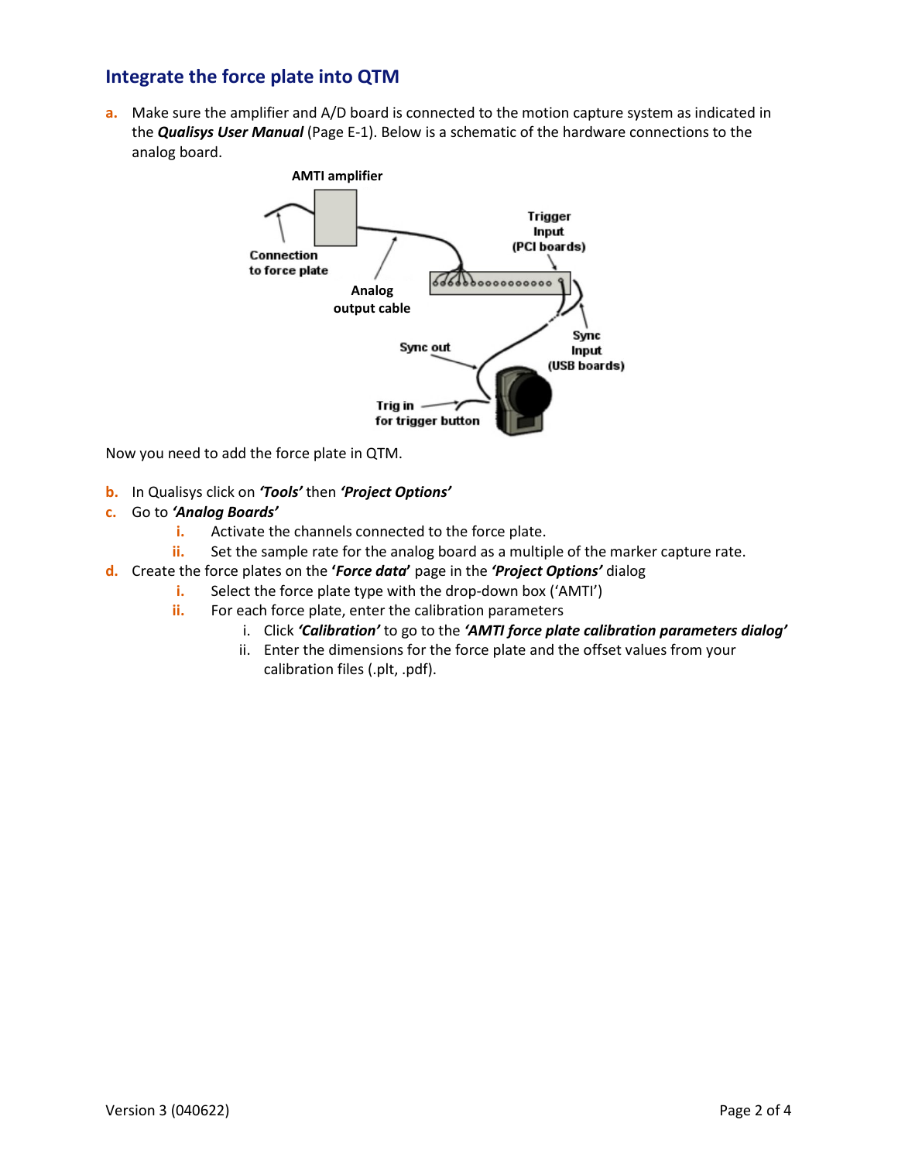## **Integrate the force plate into QTM**

**a.** Make sure the amplifier and A/D board is connected to the motion capture system as indicated in the *Qualisys User Manual* (Page E-1). Below is a schematic of the hardware connections to the analog board.



Now you need to add the force plate in QTM.

- **b.** In Qualisys click on *'Tools'* then *'Project Options'*
- **c.** Go to *'Analog Boards'*
	- **i.** Activate the channels connected to the force plate.
	- **ii.** Set the sample rate for the analog board as a multiple of the marker capture rate.
- **d.** Create the force plates on the **'***Force data***'** page in the *'Project Options'* dialog
	- **i.** Select the force plate type with the drop-down box ('AMTI')
	- **ii.** For each force plate, enter the calibration parameters
		- i. Click *'Calibration'* to go to the *'AMTI force plate calibration parameters dialog'*
		- ii. Enter the dimensions for the force plate and the offset values from your calibration files (.plt, .pdf).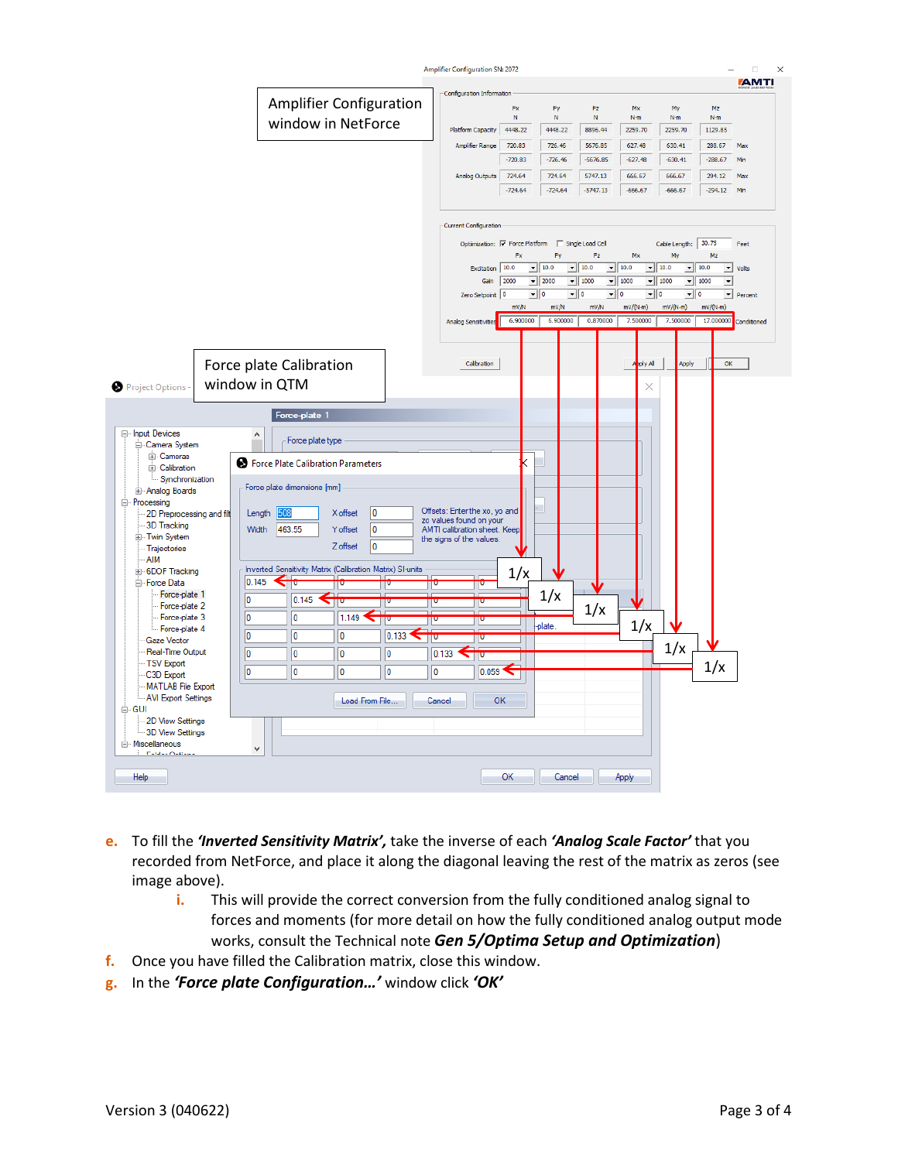

- **e.** To fill the *'Inverted Sensitivity Matrix',* take the inverse of each *'Analog Scale Factor'* that you recorded from NetForce, and place it along the diagonal leaving the rest of the matrix as zeros (see image above).
	- **i.** This will provide the correct conversion from the fully conditioned analog signal to forces and moments (for more detail on how the fully conditioned analog output mode works, consult the Technical note *Gen 5/Optima Setup and Optimization*)
- **f.** Once you have filled the Calibration matrix, close this window.
- **g.** In the *'Force plate Configuration…'* window click *'OK'*